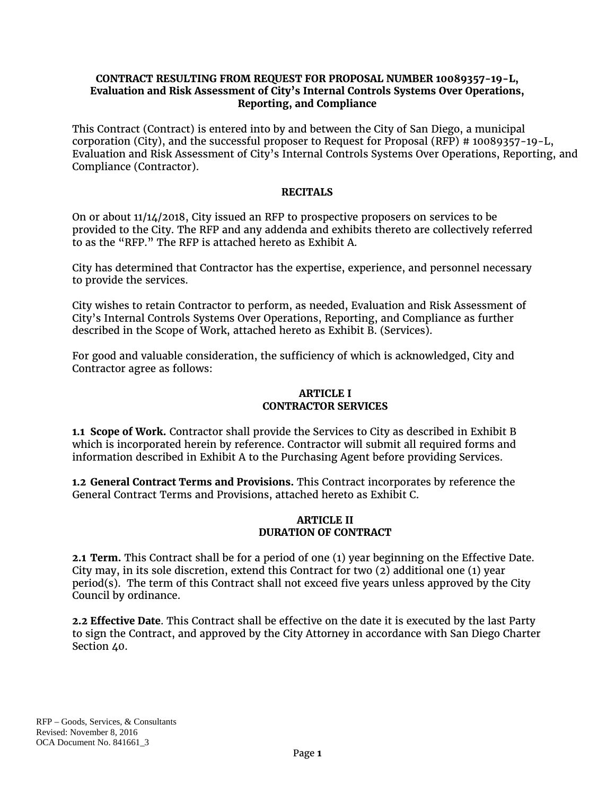### **CONTRACT RESULTING FROM REQUEST FOR PROPOSAL NUMBER 10089357-19-L, Evaluation and Risk Assessment of City's Internal Controls Systems Over Operations, Reporting, and Compliance**

This Contract (Contract) is entered into by and between the City of San Diego, a municipal corporation (City), and the successful proposer to Request for Proposal (RFP) # 10089357-19-L, Evaluation and Risk Assessment of City's Internal Controls Systems Over Operations, Reporting, and Compliance (Contractor).

## **RECITALS**

On or about 11/14/2018, City issued an RFP to prospective proposers on services to be provided to the City. The RFP and any addenda and exhibits thereto are collectively referred to as the "RFP." The RFP is attached hereto as Exhibit A.

City has determined that Contractor has the expertise, experience, and personnel necessary to provide the services.

City wishes to retain Contractor to perform, as needed, Evaluation and Risk Assessment of City's Internal Controls Systems Over Operations, Reporting, and Compliance as further described in the Scope of Work, attached hereto as Exhibit B. (Services).

For good and valuable consideration, the sufficiency of which is acknowledged, City and Contractor agree as follows:

# **ARTICLE I CONTRACTOR SERVICES**

**1.1 Scope of Work.** Contractor shall provide the Services to City as described in Exhibit B which is incorporated herein by reference. Contractor will submit all required forms and information described in Exhibit A to the Purchasing Agent before providing Services.

**1.2 General Contract Terms and Provisions.** This Contract incorporates by reference the General Contract Terms and Provisions, attached hereto as Exhibit C.

#### **ARTICLE II DURATION OF CONTRACT**

**2.1 Term.** This Contract shall be for a period of one (1) year beginning on the Effective Date. City may, in its sole discretion, extend this Contract for two  $(2)$  additional one  $(1)$  year period(s). The term of this Contract shall not exceed five years unless approved by the City Council by ordinance.

**2.2 Effective Date**. This Contract shall be effective on the date it is executed by the last Party to sign the Contract, and approved by the City Attorney in accordance with San Diego Charter Section 40.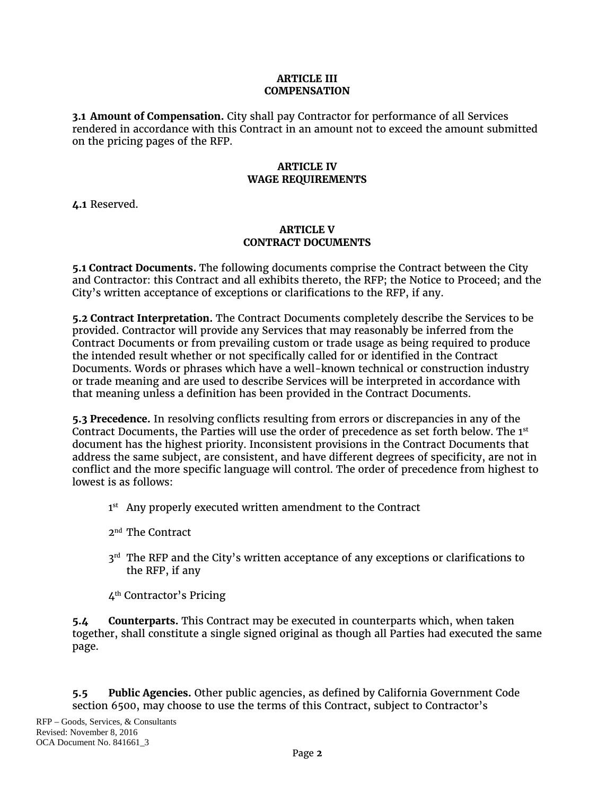### **ARTICLE III COMPENSATION**

**3.1 Amount of Compensation.** City shall pay Contractor for performance of all Services rendered in accordance with this Contract in an amount not to exceed the amount submitted on the pricing pages of the RFP.

# **ARTICLE IV WAGE REQUIREMENTS**

**4.1** Reserved.

### **ARTICLE V CONTRACT DOCUMENTS**

**5.1 Contract Documents.** The following documents comprise the Contract between the City and Contractor: this Contract and all exhibits thereto, the RFP; the Notice to Proceed; and the City's written acceptance of exceptions or clarifications to the RFP, if any.

**5.2 Contract Interpretation.** The Contract Documents completely describe the Services to be provided. Contractor will provide any Services that may reasonably be inferred from the Contract Documents or from prevailing custom or trade usage as being required to produce the intended result whether or not specifically called for or identified in the Contract Documents. Words or phrases which have a well-known technical or construction industry or trade meaning and are used to describe Services will be interpreted in accordance with that meaning unless a definition has been provided in the Contract Documents.

**5.3 Precedence.** In resolving conflicts resulting from errors or discrepancies in any of the Contract Documents, the Parties will use the order of precedence as set forth below. The 1st document has the highest priority. Inconsistent provisions in the Contract Documents that address the same subject, are consistent, and have different degrees of specificity, are not in conflict and the more specific language will control. The order of precedence from highest to lowest is as follows:

- 1<sup>st</sup> Any properly executed written amendment to the Contract
- 2<sup>nd</sup> The Contract
- 3<sup>rd</sup> The RFP and the City's written acceptance of any exceptions or clarifications to the RFP, if any
- 4th Contractor's Pricing

**5.4 Counterparts.** This Contract may be executed in counterparts which, when taken together, shall constitute a single signed original as though all Parties had executed the same page.

**5.5 Public Agencies.** Other public agencies, as defined by California Government Code section 6500, may choose to use the terms of this Contract, subject to Contractor's

RFP – Goods, Services, & Consultants Revised: November 8, 2016 OCA Document No. 841661\_3